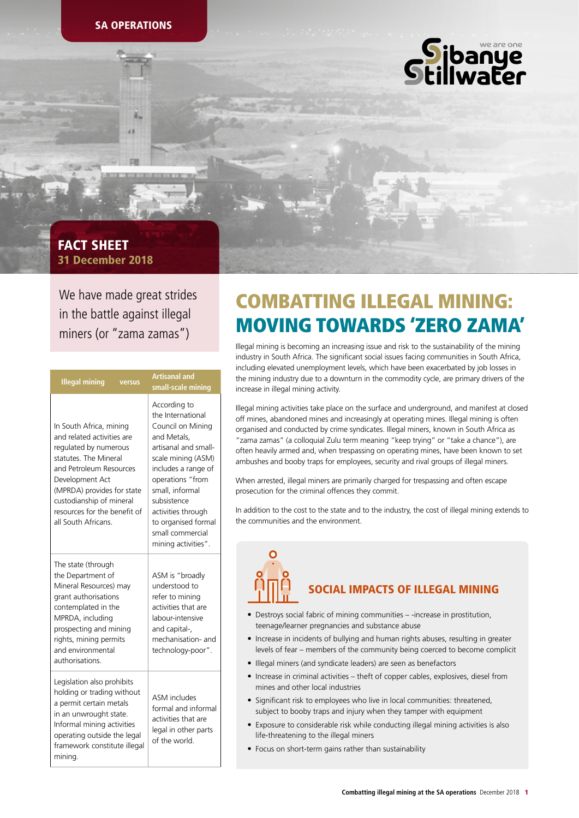

# 31 December 2018 FACT SHEET

We have made great strides in the battle against illegal miners (or "zama zamas")

| <b>Illegal mining</b>                                                                                                                                                                                                                                                  | versus | <b>Artisanal and</b><br>small-scale mining                                                                                                                                                                                                                                               |  |
|------------------------------------------------------------------------------------------------------------------------------------------------------------------------------------------------------------------------------------------------------------------------|--------|------------------------------------------------------------------------------------------------------------------------------------------------------------------------------------------------------------------------------------------------------------------------------------------|--|
| In South Africa, mining<br>and related activities are<br>regulated by numerous<br>statutes. The Mineral<br>and Petroleum Resources<br>Development Act<br>(MPRDA) provides for state<br>custodianship of mineral<br>resources for the benefit of<br>all South Africans. |        | According to<br>the International<br>Council on Mining<br>and Metals.<br>artisanal and small-<br>scale mining (ASM)<br>includes a range of<br>operations "from<br>small, informal<br>subsistence<br>activities through<br>to organised formal<br>small commercial<br>mining activities". |  |
| The state (through<br>the Department of<br>Mineral Resources) may<br>grant authorisations<br>contemplated in the<br>MPRDA, including<br>prospecting and mining<br>rights, mining permits<br>and environmental<br>authorisations.                                       |        | ASM is "broadly<br>understood to<br>refer to mining<br>activities that are<br>labour-intensive<br>and capital-,<br>mechanisation- and<br>technology-poor".                                                                                                                               |  |
| Legislation also prohibits<br>holding or trading without<br>a permit certain metals<br>in an unwrought state.<br>Informal mining activities<br>operating outside the legal<br>framework constitute illegal<br>minina.                                                  |        | ASM includes<br>formal and informal<br>activities that are<br>legal in other parts<br>of the world.                                                                                                                                                                                      |  |

# COMBATTING ILLEGAL MINING: MOVING TOWARDS 'ZERO ZAMA'

Illegal mining is becoming an increasing issue and risk to the sustainability of the mining industry in South Africa. The significant social issues facing communities in South Africa, including elevated unemployment levels, which have been exacerbated by job losses in the mining industry due to a downturn in the commodity cycle, are primary drivers of the increase in illegal mining activity.

Illegal mining activities take place on the surface and underground, and manifest at closed off mines, abandoned mines and increasingly at operating mines. Illegal mining is often organised and conducted by crime syndicates. Illegal miners, known in South Africa as "zama zamas" (a colloquial Zulu term meaning "keep trying" or "take a chance"), are often heavily armed and, when trespassing on operating mines, have been known to set ambushes and booby traps for employees, security and rival groups of illegal miners.

When arrested, illegal miners are primarily charged for trespassing and often escape prosecution for the criminal offences they commit.

In addition to the cost to the state and to the industry, the cost of illegal mining extends to the communities and the environment.



# SOCIAL IMPACTS OF ILLEGAL MINING

- Destroys social fabric of mining communities -increase in prostitution, teenage/learner pregnancies and substance abuse
- Increase in incidents of bullying and human rights abuses, resulting in greater levels of fear – members of the community being coerced to become complicit
- Illegal miners (and syndicate leaders) are seen as benefactors
- Increase in criminal activities theft of copper cables, explosives, diesel from mines and other local industries
- Significant risk to employees who live in local communities: threatened, subject to booby traps and injury when they tamper with equipment
- Exposure to considerable risk while conducting illegal mining activities is also life-threatening to the illegal miners
- Focus on short-term gains rather than sustainability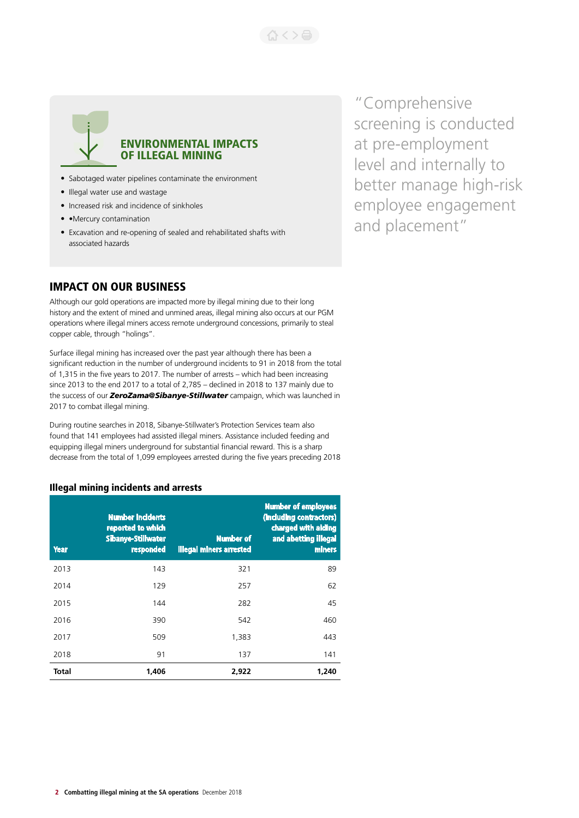

## ENVIRONMENTAL IMPACTS OF ILLEGAL MINING

- Sabotaged water pipelines contaminate the environment
- Illegal water use and wastage
- Increased risk and incidence of sinkholes
- • Mercury contamination
- Excavation and re-opening of sealed and rehabilitated shafts with associated hazards

## IMPACT ON OUR BUSINESS

Although our gold operations are impacted more by illegal mining due to their long history and the extent of mined and unmined areas, illegal mining also occurs at our PGM operations where illegal miners access remote underground concessions, primarily to steal copper cable, through "holings".

Surface illegal mining has increased over the past year although there has been a significant reduction in the number of underground incidents to 91 in 2018 from the total of 1,315 in the five years to 2017. The number of arrests – which had been increasing since 2013 to the end 2017 to a total of 2,785 – declined in 2018 to 137 mainly due to the success of our *ZeroZama@Sibanye-Stillwater* campaign, which was launched in 2017 to combat illegal mining.

During routine searches in 2018, Sibanye-Stillwater's Protection Services team also found that 141 employees had assisted illegal miners. Assistance included feeding and equipping illegal miners underground for substantial financial reward. This is a sharp decrease from the total of 1,099 employees arrested during the five years preceding 2018

#### Illegal mining incidents and arrests

| <b>Year</b> | <b>Number incidents</b><br>reported to which<br><b>Sibanye-Stillwater</b><br>responded | <b>Number of</b><br><b>illegal miners arrested</b> | <b>Number of employees</b><br>(including contractors)<br>charged with aiding<br>and abetting illegal<br>miners |
|-------------|----------------------------------------------------------------------------------------|----------------------------------------------------|----------------------------------------------------------------------------------------------------------------|
| 2013        | 143                                                                                    | 321                                                | 89                                                                                                             |
| 2014        | 129                                                                                    | 257                                                | 62                                                                                                             |
| 2015        | 144                                                                                    | 282                                                | 45                                                                                                             |
| 2016        | 390                                                                                    | 542                                                | 460                                                                                                            |
| 2017        | 509                                                                                    | 1,383                                              | 443                                                                                                            |
| 2018        | 91                                                                                     | 137                                                | 141                                                                                                            |
| Total       | 1.406                                                                                  | 2,922                                              | 1.240                                                                                                          |

"Comprehensive screening is conducted at pre-employment level and internally to better manage high-risk employee engagement and placement"